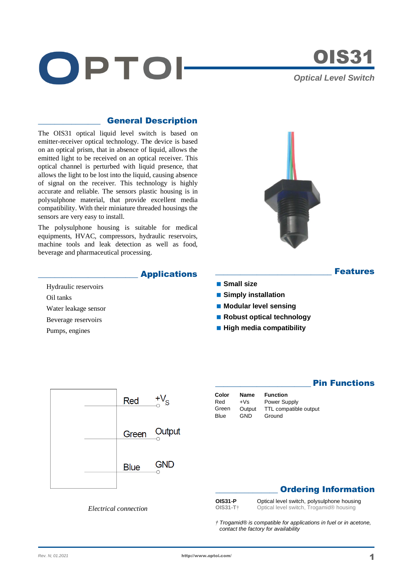



## \_\_\_\_\_\_\_\_\_\_\_\_\_\_\_ General Description

The OIS31 optical liquid level switch is based on emitter-receiver optical technology. The device is based on an optical prism, that in absence of liquid, allows the emitted light to be received on an optical receiver. This optical channel is perturbed with liquid presence, that allows the light to be lost into the liquid, causing absence of signal on the receiver. This technology is highly accurate and reliable. The sensors plastic housing is in polysulphone material, that provide excellent media compatibility. With their miniature threaded housings the sensors are very easy to install.

The polysulphone housing is suitable for medical equipments, HVAC, compressors, hydraulic reservoirs, machine tools and leak detection as well as food, beverage and pharmaceutical processing.



## \_\_\_\_\_\_\_\_\_\_\_\_\_\_\_\_\_\_\_\_\_\_\_\_ Applications

- Hydraulic reservoirs Oil tanks
- Water leakage sensor
- Beverage reservoirs
- Pumps, engines

- **Small size Simply installation**
- **Modular level sensing**
- Robust optical technology
- 
- **High media compatibility**

|  | Red         | $+V_{\rm S}$ |
|--|-------------|--------------|
|  | Green       | Output       |
|  | <b>Blue</b> | <b>GND</b>   |

| Color | Name   | <b>Function</b>       |
|-------|--------|-----------------------|
| Red   | $+Vs$  | Power Supply          |
| Green | Output | TTL compatible output |
| Blue  | GND    | Ground                |

# **Pin Functions**

**Features** 

# **Ordering Information**

**OIS31-P** Optical level switch, polysulphone housing **OIS31-T†** Optical level switch, Trogamid® housing

*† Trogamid® is compatible for applications in fuel or in acetone, contact the factory for availability*

#### *Electrical connection*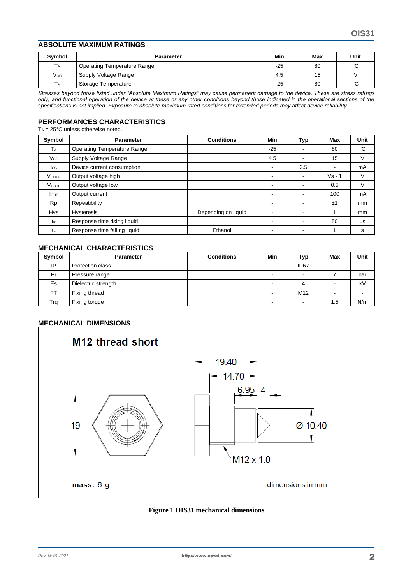#### **ABSOLUTE MAXIMUM RATINGS**

| Symbol       | <b>Parameter</b>            | Min   | Max | Unit   |
|--------------|-----------------------------|-------|-----|--------|
| Тa           | Operating Temperature Range | $-25$ | 80  | $\sim$ |
| $V_{\rm CC}$ | Supply Voltage Range        | 4.5   | 15  |        |
| Ts           | Storage Temperature         | $-25$ | 80  | $\sim$ |

*Stresses beyond those listed under "Absolute Maximum Ratings" may cause permanent damage to the device. These are stress ratings only, and functional operation of the device at these or any other conditions beyond those indicated in the operational sections of the specifications is not implied. Exposure to absolute maximum rated conditions for extended periods may affect device reliability.*

#### **PERFORMANCES CHARACTERISTICS**

 $T_A = 25^{\circ}$ C unless otherwise noted.

| Symbol                | <b>Parameter</b>                   | <b>Conditions</b>   | Min   | Typ            | <b>Max</b> | Unit      |
|-----------------------|------------------------------------|---------------------|-------|----------------|------------|-----------|
| <b>T</b> <sub>A</sub> | <b>Operating Temperature Range</b> |                     | $-25$ | ۰              | 80         | °C        |
| $V_{\rm CC}$          | Supply Voltage Range               |                     | 4.5   | ۰              | 15         | V         |
| $_{\rm lcc}$          | Device current consumption         |                     | -     | 2.5            | -          | mA        |
| <b>VOUTH</b>          | Output voltage high                |                     |       | $\blacksquare$ | $Vs - 1$   |           |
| VOUTL                 | Output voltage low                 |                     |       |                | 0.5        | V         |
| <b>I</b> out          | Output current                     |                     | ٠     | ۰              | 100        | mA        |
| <b>Rp</b>             | Repeatibility                      |                     |       | $\blacksquare$ | ±1         | mm        |
| <b>Hys</b>            | <b>Hysteresis</b>                  | Depending on liquid |       | ۰              |            | mm        |
| t <sub>R</sub>        | Response time rising liquid        |                     |       | ۰              | 50         | <b>us</b> |
| tF                    | Response time falling liquid       | Ethanol             |       |                |            | s         |

## **MECHANICAL CHARACTERISTICS**

| <b>Symbol</b> | <b>Parameter</b>    | <b>Conditions</b> | Min | Typ              | <b>Max</b>               | Unit |
|---------------|---------------------|-------------------|-----|------------------|--------------------------|------|
| IP            | Protection class    |                   |     | IP <sub>67</sub> |                          |      |
| Pr            | Pressure range      |                   |     |                  |                          | bar  |
| Es            | Dielectric strength |                   |     |                  |                          | kV   |
| <b>FT</b>     | Fixing thread       |                   |     | M <sub>12</sub>  | $\overline{\phantom{0}}$ |      |
| Trg           | Fixing torque       |                   |     |                  | 1.5                      | N/m  |

#### **MECHANICAL DIMENSIONS**